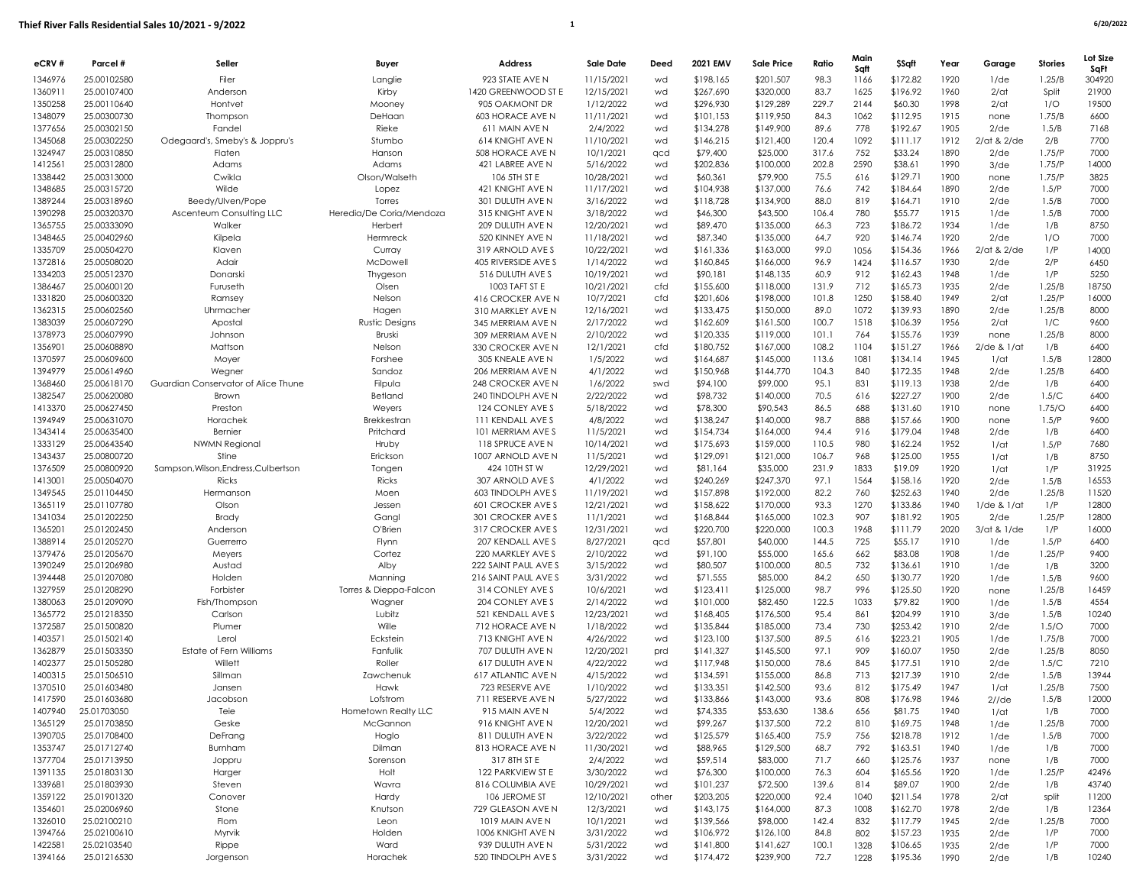| eCRV#              | Parcel #                   | Seller                                       | Buyer                              | <b>Address</b>                                | <b>Sale Date</b>        | Deed     | 2021 EMV               | <b>Sale Price</b>      | Ratio         | Main<br>Sqft | <b>\$Sqft</b>        | Year         | Garage             | <b>Stories</b> | Lot Size<br>SaFt |
|--------------------|----------------------------|----------------------------------------------|------------------------------------|-----------------------------------------------|-------------------------|----------|------------------------|------------------------|---------------|--------------|----------------------|--------------|--------------------|----------------|------------------|
| 1346976            | 25.00102580                | Filer                                        | Langlie                            | 923 STATE AVE N                               | 11/15/2021              | wd       | \$198,165              | \$201,507              | 98.3          | 1166         | \$172.82             | 1920         | $1$ /de            | 1.25/B         | 304920           |
| 1360911            | 25.00107400                | Anderson                                     | Kirby                              | 1420 GREENWOOD ST E                           | 12/15/2021              | wd       | \$267,690              | \$320,000              | 83.7          | 1625         | \$196.92             | 1960         | $2$ /at            | Split          | 21900            |
| 1350258            | 25.00110640                | Hontvet                                      | Mooney                             | 905 OAKMONT DR                                | 1/12/2022               | wd       | \$296,930              | \$129,289              | 229.7         | 2144         | \$60.30              | 1998         | $2$ /at            | 1/O            | 19500            |
| 1348079            | 25.00300730                | Thompson                                     | DeHaan                             | 603 HORACE AVE N                              | 11/11/2021              | wd       | \$101,153              | \$119,950              | 84.3          | 1062         | \$112.95             | 1915         | none               | 1.75/B         | 6600             |
| 1377656            | 25.00302150                | Fandel                                       | Rieke                              | 611 MAIN AVE N                                | 2/4/2022                | wd       | \$134,278              | \$149,900              | 89.6          | 778          | \$192.67             | 1905         | $2$ /de            | 1.5/B          | 7168             |
| 1345068            | 25.00302250                | Odegaard's, Smeby's & Joppru's               | Stumbo                             | <b>614 KNIGHT AVE N</b>                       | 11/10/2021              | wd       | \$146,215              | \$121,400              | 120.4         | 1092         | \$111.17             | 1912         | 2/at & 2/de        | 2/B            | 7700             |
| 1324947            | 25.00310850                | Flaten                                       | Hanson                             | 508 HORACE AVE N                              | 10/1/2021               | qcd      | \$79,400               | \$25,000               | 317.6         | 752          | \$33.24              | 1890         | $2$ /de            | 1.75/P         | 7000             |
| 1412561            | 25.00312800                | Adams                                        | Adams                              | 421 LABREE AVE N                              | 5/16/2022               | wd       | \$202,836              | \$100,000              | 202.8         | 2590         | \$38.61              | 1990         | $3$ /de            | 1.75/P         | 14000            |
| 1338442            | 25.00313000                | Cwikla                                       | Olson/Walseth                      | 106 5TH ST E                                  | 10/28/2021              | wd       | \$60,361               | \$79,900               | 75.5          | 616          | \$129.71             | 1900         | none               | 1.75/P         | 3825             |
| 1348685            | 25.00315720                | Wilde                                        | Lopez                              | 421 KNIGHT AVE N                              | 11/17/2021              | wd       | \$104,938              | \$137,000              | 76.6          | 742          | \$184.64             | 1890         | $2$ /de            | 1.5/P          | 7000             |
| 1389244<br>1390298 | 25.00318960<br>25.00320370 | Beedy/Ulven/Pope<br>Ascenteum Consulting LLC | Torres<br>Heredia/De Coria/Mendoza | 301 DULUTH AVE N<br>315 KNIGHT AVE N          | 3/16/2022               | wd       | \$118,728              | \$134,900              | 88.0<br>106.4 | 819<br>780   | \$164.71<br>\$55.77  | 1910<br>1915 | $2$ /de<br>$1$ /de | 1.5/B          | 7000<br>7000     |
| 1365755            | 25.00333090                | Walker                                       | Herbert                            | 209 DULUTH AVE N                              | 3/18/2022<br>12/20/2021 | wd<br>wd | \$46,300<br>\$89,470   | \$43,500<br>\$135,000  | 66.3          | 723          | \$186.72             | 1934         | $1$ /de            | 1.5/B<br>1/B   | 8750             |
| 1348465            | 25.00402960                | Kilpela                                      | Hermreck                           | 520 KINNEY AVE N                              | 11/18/2021              | wd       | \$87,340               | \$135,000              | 64.7          | 920          | \$146.74             | 1920         | $2$ /de            | 1/O            | 7000             |
| 1335709            | 25.00504270                | Klaven                                       | Curray                             | 319 ARNOLD AVE S                              | 10/22/2021              | wd       | \$161,336              | \$163,000              | 99.0          | 1056         | \$154.36             | 1966         | 2/at & 2/de        | 1/P            | 14000            |
| 1372816            | 25.00508020                | Adair                                        | McDowell                           | 405 RIVERSIDE AVE S                           | 1/14/2022               | wd       | \$160,845              | \$166,000              | 96.9          | 1424         | \$116.57             | 1930         | $2$ /de            | 2/P            | 6450             |
| 1334203            | 25.00512370                | Donarski                                     | Thygeson                           | 516 DULUTH AVE S                              | 10/19/2021              | wd       | \$90,181               | \$148,135              | 60.9          | 912          | \$162.43             | 1948         | $1$ /de            | 1/P            | 5250             |
| 1386467            | 25.00600120                | Furuseth                                     | Olsen                              | 1003 TAFT ST E                                | 10/21/2021              | cfd      | \$155,600              | \$118,000              | 131.9         | 712          | \$165.73             | 1935         | $2$ /de            | 1.25/B         | 18750            |
| 1331820            | 25.00600320                | Ramsey                                       | Nelson                             | 416 CROCKER AVE N                             | 10/7/2021               | cfd      | \$201,606              | \$198,000              | 101.8         | 1250         | \$158.40             | 1949         | $2$ /at            | 1.25/P         | 16000            |
| 1362315            | 25.00602560                | Uhrmacher                                    | Hagen                              | 310 MARKLEY AVE N                             | 12/16/2021              | wd       | \$133,475              | \$150,000              | 89.0          | 1072         | \$139.93             | 1890         | $2$ /de            | 1.25/B         | 8000             |
| 1383039            | 25.00607290                | Apostal                                      | <b>Rustic Designs</b>              | 345 MERRIAM AVE N                             | 2/17/2022               | wd       | \$162,609              | \$161,500              | 100.7         | 1518         | \$106.39             | 1956         | $2$ /at            | 1/C            | 9600             |
| 1378973            | 25.00607990                | Johnson                                      | Bruski                             | 309 MERRIAM AVE N                             | 2/10/2022               | wd       | \$120,335              | \$119,000              | 101.1         | 764          | \$155.76             | 1939         | none               | 1.25/B         | 8000             |
| 1356901            | 25.00608890                | Mattson                                      | Nelson                             | 330 CROCKER AVE N                             | 12/1/2021               | cfd      | \$180,752              | \$167,000              | 108.2         | 1104         | \$151.27             | 1966         | $2$ /de & $1$ /at  | 1/B            | 6400             |
| 1370597            | 25.00609600                | Moyer                                        | Forshee                            | 305 KNEALE AVE N                              | 1/5/2022                | wd       | \$164,687              | \$145,000              | 113.6         | 1081         | \$134.14             | 1945         | 1/dt               | 1.5/B          | 12800            |
| 1394979            | 25.00614960                | Wegner                                       | Sandoz                             | 206 MERRIAM AVE N                             | 4/1/2022                | wd       | \$150,968              | \$144,770              | 104.3         | 840          | \$172.35             | 1948         | $2$ /de            | 1.25/B         | 6400             |
| 1368460            | 25.00618170                | Guardian Conservator of Alice Thune          | Filpula                            | 248 CROCKER AVE N                             | 1/6/2022                | swd      | \$94,100               | \$99,000               | 95.1          | 831          | \$119.13             | 1938         | $2$ /de            | 1/B            | 6400             |
| 1382547            | 25.00620080                | Brown                                        | Betland                            | 240 TINDOLPH AVE N                            | 2/22/2022               | wd       | \$98,732               | \$140,000              | 70.5          | 616          | \$227.27             | 1900         | $2$ /de            | 1.5/C          | 6400             |
| 1413370            | 25.00627450<br>25.00631070 | Preston                                      | Weyers                             | 124 CONLEY AVE S                              | 5/18/2022               | wd<br>wd | \$78,300               | \$90,543               | 86.5<br>98.7  | 688<br>888   | \$131.60             | 1910<br>1900 | none               | 1.75/O         | 6400             |
| 1394949<br>1343414 | 25.00635400                | Horachek<br>Bernier                          | Brekkestran<br>Pritchard           | <b>111 KENDALL AVE S</b><br>101 MERRIAM AVE S | 4/8/2022<br>11/5/2021   | wd       | \$138,247<br>\$154,734 | \$140,000<br>\$164,000 | 94.4          | 916          | \$157.66<br>\$179.04 | 1948         | none<br>$2$ /de    | 1.5/P<br>1/B   | 9600<br>6400     |
| 1333129            | 25.00643540                | <b>NWMN Regional</b>                         | Hruby                              | 118 SPRUCE AVE N                              | 10/14/2021              | wd       | \$175,693              | \$159,000              | 110.5         | 980          | \$162.24             | 1952         | 1/dt               | 1.5/P          | 7680             |
| 1343437            | 25.00800720                | Stine                                        | Erickson                           | 1007 ARNOLD AVE N                             | 11/5/2021               | wd       | \$129,091              | \$121,000              | 106.7         | 968          | \$125.00             | 1955         | 1/dt               | 1/B            | 8750             |
| 1376509            | 25.00800920                | Sampson, Wilson, Endress, Culbertson         | Tongen                             | 424 10TH ST W                                 | 12/29/2021              | wd       | \$81,164               | \$35,000               | 231.9         | 1833         | \$19.09              | 1920         | 1/dt               | 1/P            | 31925            |
| 1413001            | 25.00504070                | <b>Ricks</b>                                 | Ricks                              | 307 ARNOLD AVE S                              | 4/1/2022                | wd       | \$240,269              | \$247,370              | 97.1          | 1564         | \$158.16             | 1920         | $2$ /de            | 1.5/B          | 16553            |
| 1349545            | 25.01104450                | Hermanson                                    | Moen                               | 603 TINDOLPH AVE S                            | 11/19/2021              | wd       | \$157,898              | \$192,000              | 82.2          | 760          | \$252.63             | 1940         | $2$ /de            | 1.25/B         | 11520            |
| 1365119            | 25.01107780                | Olson                                        | Jessen                             | <b>601 CROCKER AVE S</b>                      | 12/21/2021              | wd       | \$158,622              | \$170,000              | 93.3          | 1270         | \$133.86             | 1940         | $1$ /de & $1$ /at  | 1/P            | 12800            |
| 1341034            | 25.01202250                | Brady                                        | Gangl                              | 301 CROCKER AVE S                             | 11/1/2021               | wd       | \$168,844              | \$165,000              | 102.3         | 907          | \$181.92             | 1905         | $2$ /de            | 1.25/F         | 12800            |
| 1365201            | 25.01202450                | Anderson                                     | O'Brien                            | 317 CROCKER AVE S                             | 12/31/2021              | wd       | \$220,700              | \$220,000              | 100.3         | 1968         | \$111.79             | 2020         | $3$ /at & $1$ /de  | 1/P            | 16000            |
| 1388914            | 25.01205270                | Guerrerro                                    | Flynn                              | 207 KENDALL AVE S                             | 8/27/2021               | qcd      | \$57,801               | \$40,000               | 144.5         | 725          | \$55.17              | 1910         | $1$ /de            | 1.5/P          | 6400             |
| 1379476            | 25.01205670                | Meyers                                       | Cortez                             | 220 MARKLEY AVE S                             | 2/10/2022               | wd       | \$91,100               | \$55,000               | 165.6         | 662          | \$83.08              | 1908         | $1$ /de            | 1.25/P         | 9400             |
| 1390249            | 25.01206980                | Austad                                       | Alby                               | 222 SAINT PAUL AVE S                          | 3/15/2022               | wd       | \$80,507               | \$100,000              | 80.5          | 732          | \$136.61             | 1910         | $1$ /de            | 1/B            | 3200             |
| 1394448            | 25.01207080                | Holden                                       | Manning                            | 216 SAINT PAUL AVE S                          | 3/31/2022               | wd       | \$71,555               | \$85,000               | 84.2          | 650          | \$130.77             | 1920         | $1$ /de            | 1.5/B          | 9600             |
| 1327959            | 25.01208290                | Forbister                                    | Torres & Dieppa-Falcon             | 314 CONLEY AVE S                              | 10/6/2021               | wd       | \$123,411              | \$125,000              | 98.7          | 996          | \$125.50             | 1920         | none               | 1.25/B         | 16459            |
| 1380063            | 25.01209090                | Fish/Thompson                                | Wagner                             | 204 CONLEY AVE S                              | 2/14/2022               | wd       | \$101,000              | \$82,450               | 122.5<br>95.4 | 1033<br>861  | \$79.82<br>\$204.99  | 1900<br>1910 | $1$ /de            | 1.5/B          | 4554<br>10240    |
| 1365772<br>1372587 | 25.01218350<br>25.01500820 | Carlson<br>Plumer                            | Lubitz<br>Wille                    | 521 KENDALL AVE S<br>712 HORACE AVE N         | 12/23/2021<br>1/18/2022 | wd<br>wd | \$168,405<br>\$135,844 | \$176,500<br>\$185,000 | 73.4          | 730          | \$253.42             | 1910         | $3$ /de<br>$2$ /de | 1.5/B<br>1.5/O | 7000             |
| 1403571            | 25.01502140                | Lerol                                        | Eckstein                           | 713 KNIGHT AVE N                              | 4/26/2022               | wd       | \$123,100              | \$137,500              | 89.5          | 616          | \$223.21             | 1905         | $1$ /de            | 1.75/B         | 7000             |
| 1362879            | 25.01503350                | Estate of Fern Williams                      | Fanfulik                           | 707 DULUTH AVE N                              | 12/20/2021              | prd      | \$141,327              | \$145,500              | 97.1          | 909          | \$160.07             | 1950         | $2$ /de            | 1.25/B         | 8050             |
| 1402377            | 25.01505280                | Willett                                      | Roller                             | 617 DULUTH AVE N                              | 4/22/2022               | wd       | \$117,948              | \$150,000              | 78.6          | 845          | \$177.51             | 1910         | $2$ /de            | 1.5/C          | 7210             |
| 1400315            | 25.01506510                | Sillman                                      | Zawchenuk                          | 617 ATLANTIC AVE N                            | 4/15/2022               | wd       | \$134,591              | \$155,000              | 86.8          | 713          | \$217.39             | 1910         | $2$ /de            | 1.5/B          | 13944            |
| 1370510            | 25.01603480                | Jansen                                       | Hawk                               | 723 RESERVE AVE                               | 1/10/2022               | wd       | \$133,351              | \$142,500              | 93.6          | 812          | \$175.49             | 1947         | 1/dt               | 1.25/B         | 7500             |
| 1417590            | 25.01603680                | Jacobson                                     | Lofstrom                           | 711 RESERVE AVE N                             | 5/27/2022               | wd       | \$133,866              | \$143,000              | 93.6          | 808          | \$176.98             | 1946         | $2I$ /de           | 1.5/B          | 12000            |
| 1407940            | 25.01703050                | Teie                                         | Hometown Realty LLC                | 915 MAIN AVE N                                | 5/4/2022                | wd       | \$74,335               | \$53,630               | 138.6         | 656          | \$81.75              | 1940         | 1/dt               | 1/B            | 7000             |
| 1365129            | 25.01703850                | Geske                                        | McGannon                           | 916 KNIGHT AVE N                              | 12/20/2021              | wd       | \$99,267               | \$137,500              | 72.2          | 810          | \$169.75             | 1948         | $1$ /de            | 1.25/B         | 7000             |
| 1390705            | 25.01708400                | DeFrang                                      | Hoglo                              | 811 DULUTH AVE N                              | 3/22/2022               | wd       | \$125,579              | \$165,400              | 75.9          | 756          | \$218.78             | 1912         | $1$ /de            | 1.5/B          | 7000             |
| 1353747            | 25.01712740                | Burnham                                      | Dilman                             | 813 HORACE AVE N                              | 11/30/2021              | wd       | \$88,965               | \$129,500              | 68.7          | 792          | \$163.51             | 1940         | $1$ /de            | 1/B            | 7000             |
| 1377704            | 25.01713950                | Joppru                                       | Sorenson                           | 317 8TH ST E                                  | 2/4/2022                | wd       | \$59,514               | \$83,000               | 71.7          | 660          | \$125.76             | 1937         | none               | 1/B            | 7000             |
| 1391135            | 25.01803130                | Harger                                       | Holt                               | 122 PARKVIEW ST E                             | 3/30/2022               | wd       | \$76,300               | \$100,000              | 76.3          | 604          | \$165.56             | 1920         | 1/de               | 1.25/P         | 42496            |
| 1339681            | 25.01803930                | Steven                                       | Wavra                              | 816 COLUMBIA AVE                              | 10/29/2021              | wd       | \$101,237              | \$72,500               | 139.6         | 814          | \$89.07              | 1900         | $2$ /de            | 1/B            | 43740            |
| 1359122            | 25.01901320                | Conover                                      | Hardy                              | 106 JEROME ST                                 | 12/10/2021              | other    | \$203,205              | \$220,000              | 92.4          | 1040         | \$211.54             | 1978         | $2$ /at            | split          | 11200            |
| 1354601<br>1326010 | 25.02006960<br>25.02100210 | Stone<br>Flom                                | Knutson<br>Leon                    | 729 GLEASON AVE N<br>1019 MAIN AVE N          | 12/3/2021<br>10/1/2021  | wd<br>wd | \$143,175<br>\$139,566 | \$164,000<br>\$98,000  | 87.3<br>142.4 | 1008         | \$162.70<br>\$117.79 | 1978<br>1945 | $2$ /de            | 1/B<br>1.25/B  | 12364<br>7000    |
| 1394766            | 25.02100610                | Myrvik                                       | Holden                             | 1006 KNIGHT AVE N                             | 3/31/2022               | wd       | \$106,972              | \$126,100              | 84.8          | 832<br>802   | \$157.23             | 1935         | $2$ /de<br>$2$ /de | 1/P            | 7000             |
| 1422581            | 25.02103540                | Rippe                                        | Ward                               | 939 DULUTH AVE N                              | 5/31/2022               | wd       | \$141,800              | \$141,627              | 100.1         | 1328         | \$106.65             | 1935         | $2$ /de            | 1/P            | 7000             |
| 1394166            | 25.01216530                | Jorgenson                                    | Horachek                           | 520 TINDOLPH AVE S                            | 3/31/2022               | wd       | \$174,472              | \$239,900              | 72.7          | 1228         | \$195.36             | 1990         | $2$ /de            | 1/B            | 10240            |
|                    |                            |                                              |                                    |                                               |                         |          |                        |                        |               |              |                      |              |                    |                |                  |